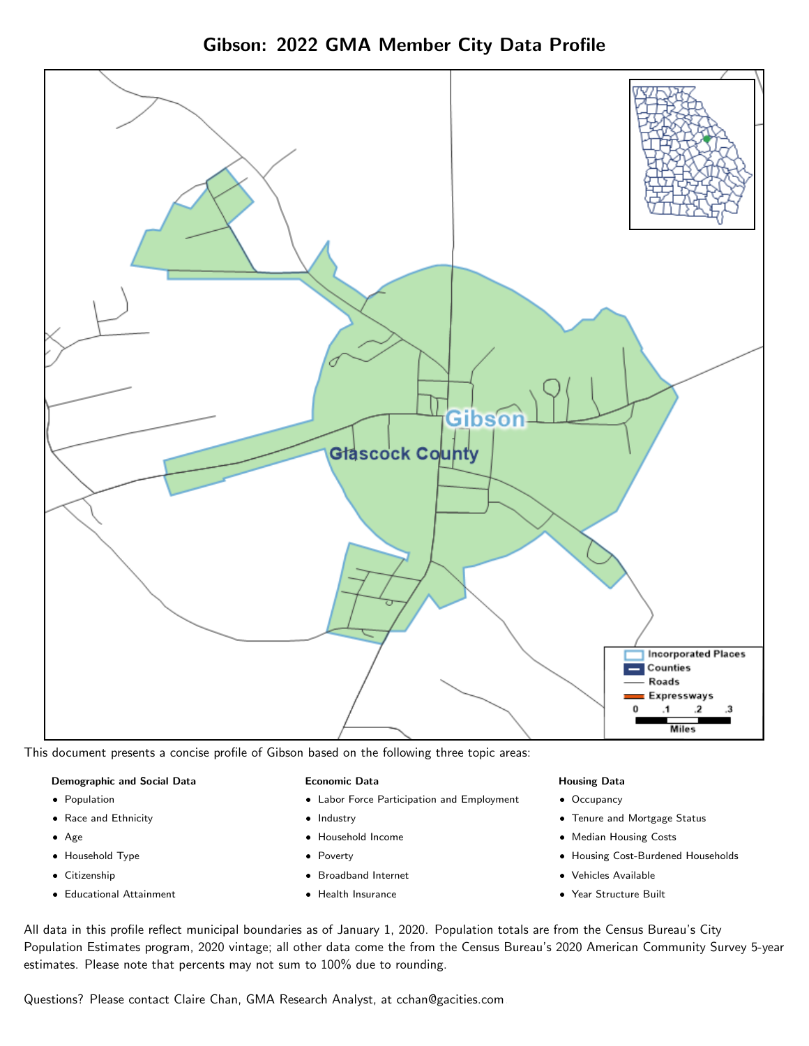



This document presents a concise profile of Gibson based on the following three topic areas:

#### Demographic and Social Data

- **•** Population
- Race and Ethnicity
- Age
- Household Type
- **Citizenship**
- Educational Attainment

#### Economic Data

- Labor Force Participation and Employment
- Industry
- Household Income
- Poverty
- Broadband Internet
- Health Insurance

### Housing Data

- Occupancy
- Tenure and Mortgage Status
- Median Housing Costs
- Housing Cost-Burdened Households
- Vehicles Available
- Year Structure Built

All data in this profile reflect municipal boundaries as of January 1, 2020. Population totals are from the Census Bureau's City Population Estimates program, 2020 vintage; all other data come the from the Census Bureau's 2020 American Community Survey 5-year estimates. Please note that percents may not sum to 100% due to rounding.

Questions? Please contact Claire Chan, GMA Research Analyst, at [cchan@gacities.com.](mailto:cchan@gacities.com)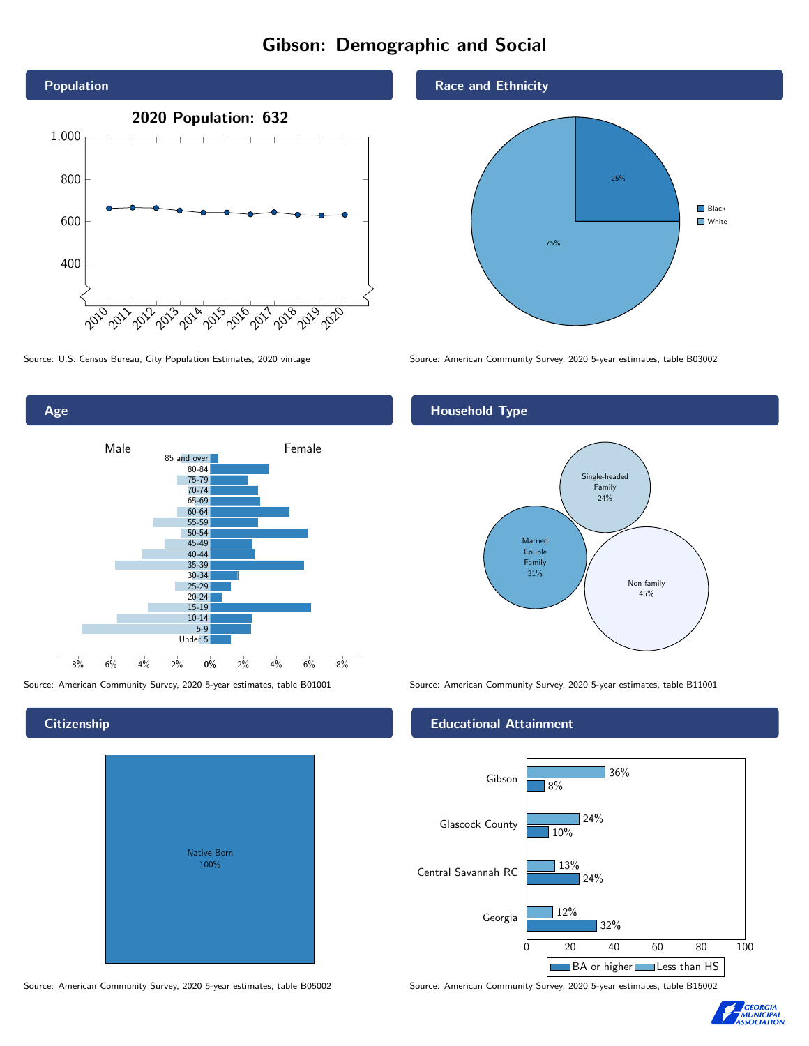# Gibson: Demographic and Social



0% 2% 4% 6% 8% Male **Female** 8% 6% 4% 2% 85 and over 80-84 75-79 70-74 65-69 60-64 55-59 50-54 45-49 40-44 35-39 30-34 25-29 20-24 15-19  $10-14$ 5-9 Under 5

## **Citizenship**

Age

| <b>Native Born</b><br>100% |  |
|----------------------------|--|

Race and Ethnicity



Source: U.S. Census Bureau, City Population Estimates, 2020 vintage Source: American Community Survey, 2020 5-year estimates, table B03002

## Household Type



Source: American Community Survey, 2020 5-year estimates, table B01001 Source: American Community Survey, 2020 5-year estimates, table B11001

### Educational Attainment



Source: American Community Survey, 2020 5-year estimates, table B05002 Source: American Community Survey, 2020 5-year estimates, table B15002

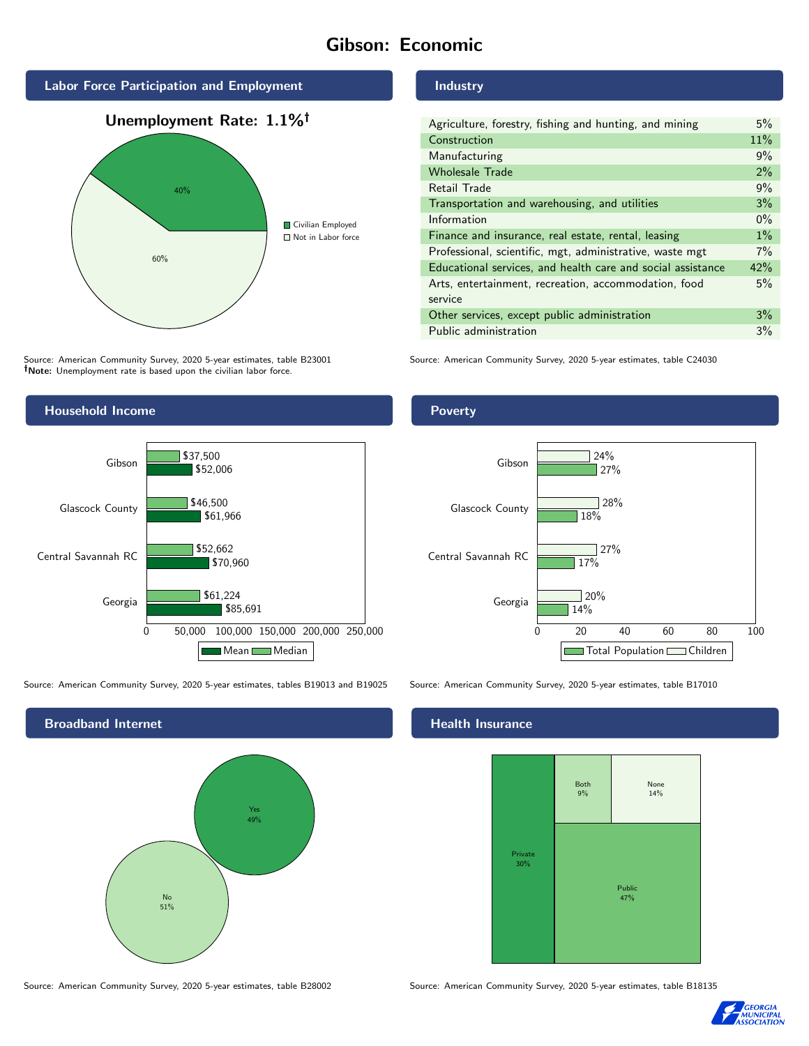# Gibson: Economic



Source: American Community Survey, 2020 5-year estimates, table B23001 Note: Unemployment rate is based upon the civilian labor force.

#### Industry

| Agriculture, forestry, fishing and hunting, and mining      | 5%    |
|-------------------------------------------------------------|-------|
| Construction                                                | 11%   |
| Manufacturing                                               | 9%    |
| <b>Wholesale Trade</b>                                      | 2%    |
| Retail Trade                                                | 9%    |
| Transportation and warehousing, and utilities               | 3%    |
| Information                                                 | $0\%$ |
| Finance and insurance, real estate, rental, leasing         | $1\%$ |
| Professional, scientific, mgt, administrative, waste mgt    |       |
| Educational services, and health care and social assistance | 42%   |
| Arts, entertainment, recreation, accommodation, food        |       |
| service                                                     |       |
| Other services, except public administration                | 3%    |
| Public administration                                       | 3%    |

Source: American Community Survey, 2020 5-year estimates, table C24030



Source: American Community Survey, 2020 5-year estimates, tables B19013 and B19025 Source: American Community Survey, 2020 5-year estimates, table B17010

Broadband Internet No 51% Yes 49%

## **Health Insurance**



Source: American Community Survey, 2020 5-year estimates, table B28002 Source: American Community Survey, 2020 5-year estimates, table B18135



### Poverty